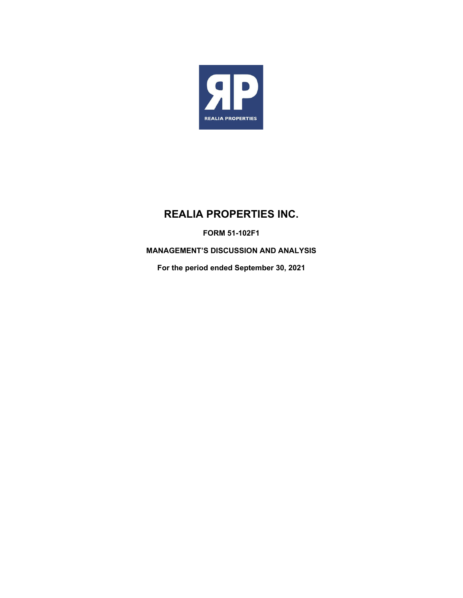

# **REALIA PROPERTIES INC.**

**FORM 51-102F1** 

**MANAGEMENT'S DISCUSSION AND ANALYSIS** 

**For the period ended September 30, 2021**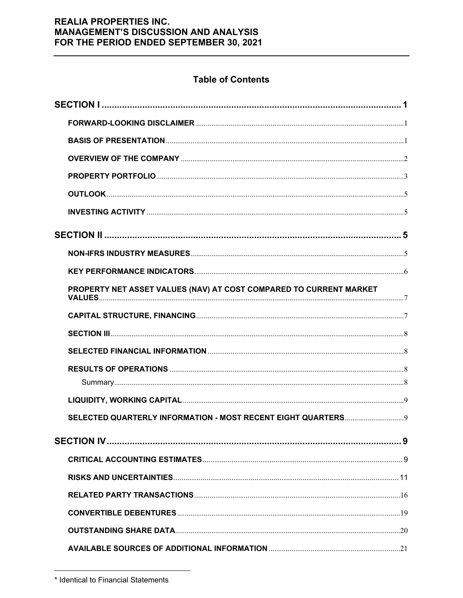# **Table of Contents**

| PROPERTY NET ASSET VALUES (NAV) AT COST COMPARED TO CURRENT MARKET |  |
|--------------------------------------------------------------------|--|
|                                                                    |  |
|                                                                    |  |
|                                                                    |  |
|                                                                    |  |
|                                                                    |  |
|                                                                    |  |
|                                                                    |  |
|                                                                    |  |
|                                                                    |  |
|                                                                    |  |
|                                                                    |  |
|                                                                    |  |
|                                                                    |  |
|                                                                    |  |

<sup>\*</sup> Identical to Financial Statements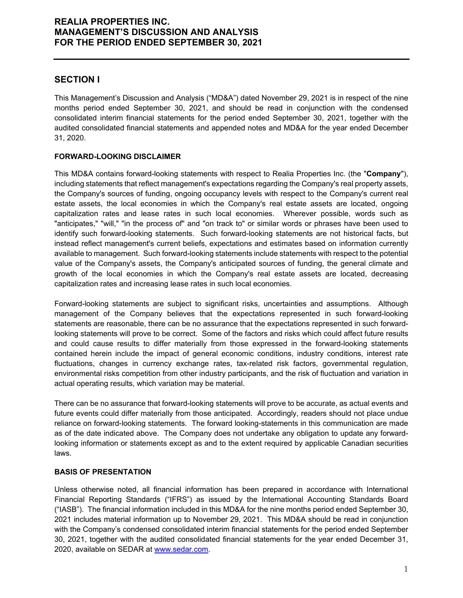### **SECTION I**

This Management's Discussion and Analysis ("MD&A") dated November 29, 2021 is in respect of the nine months period ended September 30, 2021, and should be read in conjunction with the condensed consolidated interim financial statements for the period ended September 30, 2021, together with the audited consolidated financial statements and appended notes and MD&A for the year ended December 31, 2020.

### **FORWARD-LOOKING DISCLAIMER**

This MD&A contains forward-looking statements with respect to Realia Properties Inc. (the "**Company**"), including statements that reflect management's expectations regarding the Company's real property assets, the Company's sources of funding, ongoing occupancy levels with respect to the Company's current real estate assets, the local economies in which the Company's real estate assets are located, ongoing capitalization rates and lease rates in such local economies. Wherever possible, words such as "anticipates," "will," "in the process of" and "on track to" or similar words or phrases have been used to identify such forward-looking statements. Such forward-looking statements are not historical facts, but instead reflect management's current beliefs, expectations and estimates based on information currently available to management. Such forward-looking statements include statements with respect to the potential value of the Company's assets, the Company's anticipated sources of funding, the general climate and growth of the local economies in which the Company's real estate assets are located, decreasing capitalization rates and increasing lease rates in such local economies.

Forward-looking statements are subject to significant risks, uncertainties and assumptions. Although management of the Company believes that the expectations represented in such forward-looking statements are reasonable, there can be no assurance that the expectations represented in such forwardlooking statements will prove to be correct. Some of the factors and risks which could affect future results and could cause results to differ materially from those expressed in the forward-looking statements contained herein include the impact of general economic conditions, industry conditions, interest rate fluctuations, changes in currency exchange rates, tax-related risk factors, governmental regulation, environmental risks competition from other industry participants, and the risk of fluctuation and variation in actual operating results, which variation may be material.

There can be no assurance that forward-looking statements will prove to be accurate, as actual events and future events could differ materially from those anticipated. Accordingly, readers should not place undue reliance on forward-looking statements. The forward looking-statements in this communication are made as of the date indicated above. The Company does not undertake any obligation to update any forwardlooking information or statements except as and to the extent required by applicable Canadian securities laws.

### **BASIS OF PRESENTATION**

Unless otherwise noted, all financial information has been prepared in accordance with International Financial Reporting Standards ("IFRS") as issued by the International Accounting Standards Board ("IASB"). The financial information included in this MD&A for the nine months period ended September 30, 2021 includes material information up to November 29, 2021. This MD&A should be read in conjunction with the Company's condensed consolidated interim financial statements for the period ended September 30, 2021, together with the audited consolidated financial statements for the year ended December 31, 2020, available on SEDAR at www.sedar.com.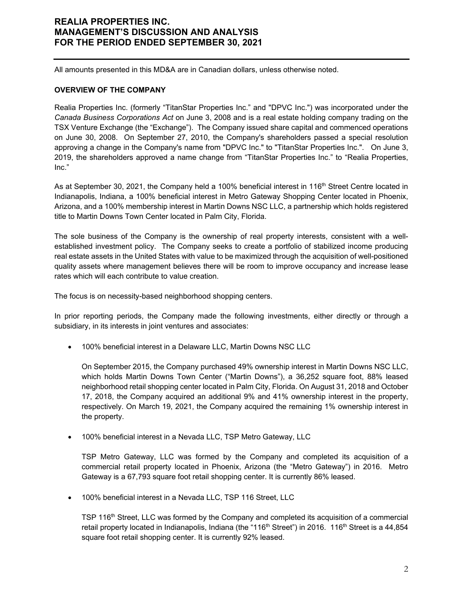All amounts presented in this MD&A are in Canadian dollars, unless otherwise noted.

#### **OVERVIEW OF THE COMPANY**

Realia Properties Inc. (formerly "TitanStar Properties Inc." and "DPVC Inc.") was incorporated under the *Canada Business Corporations Act* on June 3, 2008 and is a real estate holding company trading on the TSX Venture Exchange (the "Exchange"). The Company issued share capital and commenced operations on June 30, 2008. On September 27, 2010, the Company's shareholders passed a special resolution approving a change in the Company's name from "DPVC Inc." to "TitanStar Properties Inc.". On June 3, 2019, the shareholders approved a name change from "TitanStar Properties Inc." to "Realia Properties, Inc."

As at September 30, 2021, the Company held a 100% beneficial interest in 116<sup>th</sup> Street Centre located in Indianapolis, Indiana, a 100% beneficial interest in Metro Gateway Shopping Center located in Phoenix, Arizona, and a 100% membership interest in Martin Downs NSC LLC, a partnership which holds registered title to Martin Downs Town Center located in Palm City, Florida.

The sole business of the Company is the ownership of real property interests, consistent with a wellestablished investment policy. The Company seeks to create a portfolio of stabilized income producing real estate assets in the United States with value to be maximized through the acquisition of well-positioned quality assets where management believes there will be room to improve occupancy and increase lease rates which will each contribute to value creation.

The focus is on necessity-based neighborhood shopping centers.

In prior reporting periods, the Company made the following investments, either directly or through a subsidiary, in its interests in joint ventures and associates:

100% beneficial interest in a Delaware LLC, Martin Downs NSC LLC

On September 2015, the Company purchased 49% ownership interest in Martin Downs NSC LLC, which holds Martin Downs Town Center ("Martin Downs"), a 36,252 square foot, 88% leased neighborhood retail shopping center located in Palm City, Florida. On August 31, 2018 and October 17, 2018, the Company acquired an additional 9% and 41% ownership interest in the property, respectively. On March 19, 2021, the Company acquired the remaining 1% ownership interest in the property.

100% beneficial interest in a Nevada LLC, TSP Metro Gateway, LLC

TSP Metro Gateway, LLC was formed by the Company and completed its acquisition of a commercial retail property located in Phoenix, Arizona (the "Metro Gateway") in 2016. Metro Gateway is a 67,793 square foot retail shopping center. It is currently 86% leased.

• 100% beneficial interest in a Nevada LLC, TSP 116 Street, LLC

TSP 116<sup>th</sup> Street, LLC was formed by the Company and completed its acquisition of a commercial retail property located in Indianapolis, Indiana (the "116<sup>th</sup> Street") in 2016. 116<sup>th</sup> Street is a 44,854 square foot retail shopping center. It is currently 92% leased.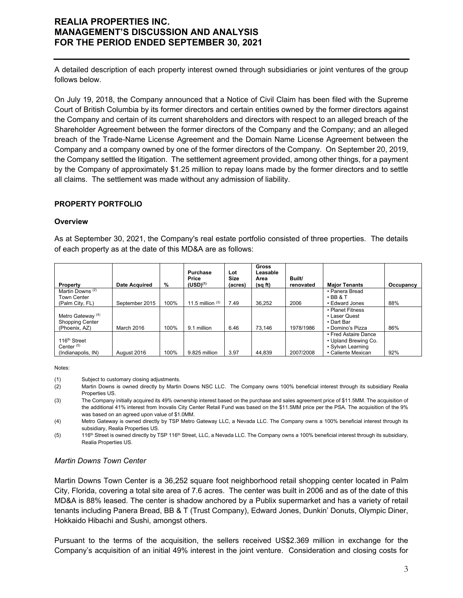A detailed description of each property interest owned through subsidiaries or joint ventures of the group follows below.

On July 19, 2018, the Company announced that a Notice of Civil Claim has been filed with the Supreme Court of British Columbia by its former directors and certain entities owned by the former directors against the Company and certain of its current shareholders and directors with respect to an alleged breach of the Shareholder Agreement between the former directors of the Company and the Company; and an alleged breach of the Trade-Name License Agreement and the Domain Name License Agreement between the Company and a company owned by one of the former directors of the Company. On September 20, 2019, the Company settled the litigation. The settlement agreement provided, among other things, for a payment by the Company of approximately \$1.25 million to repay loans made by the former directors and to settle all claims. The settlement was made without any admission of liability.

### **PROPERTY PORTFOLIO**

#### **Overview**

As at September 30, 2021, the Company's real estate portfolio consisted of three properties. The details of each property as at the date of this MD&A are as follows:

|                                                                         |                      |      | <b>Purchase</b><br>Price | Lot<br><b>Size</b> | <b>Gross</b><br>Leasable<br>Area | Built/    |                                                                                         |           |
|-------------------------------------------------------------------------|----------------------|------|--------------------------|--------------------|----------------------------------|-----------|-----------------------------------------------------------------------------------------|-----------|
| Property                                                                | <b>Date Acquired</b> | %    | $(USD)^{(1)}$            | (acres)            | (sqft)                           | renovated | <b>Maior Tenants</b>                                                                    | Occupancy |
| Martin Downs <sup>(2)</sup><br><b>Town Center</b>                       |                      |      |                          |                    |                                  |           | • Panera Bread<br>$\cdot$ BB & T                                                        |           |
| (Palm City, FL)                                                         | September 2015       | 100% | 11.5 million $(3)$       | 7.49               | 36.252                           | 2006      | • Edward Jones                                                                          | 88%       |
| Metro Gateway <sup>(4)</sup><br><b>Shopping Center</b><br>(Phoenix, AZ) | March 2016           | 100% | 9.1 million              | 6.46               | 73.146                           | 1978/1986 | • Planet Fitness<br>• Laser Quest<br>• Dart Bar<br>• Domino's Pizza                     | 86%       |
| 116 <sup>th</sup> Street<br>Center $(5)$<br>(Indianapolis, IN)          | August 2016          | 100% | 9.825 million            | 3.97               | 44.839                           | 2007/2008 | • Fred Astaire Dance<br>• Upland Brewing Co.<br>• Sylvan Learning<br>• Caliente Mexican | 92%       |

Notes:

(1) Subject to customary closing adjustments.

- (2) Martin Downs is owned directly by Martin Downs NSC LLC. The Company owns 100% beneficial interest through its subsidiary Realia Properties US.
- (3) The Company initially acquired its 49% ownership interest based on the purchase and sales agreement price of \$11.5MM. The acquisition of the additional 41% interest from Inovalis City Center Retail Fund was based on the \$11.5MM price per the PSA. The acquisition of the 9% was based on an agreed upon value of \$1.0MM.

(4) Metro Gateway is owned directly by TSP Metro Gateway LLC, a Nevada LLC. The Company owns a 100% beneficial interest through its subsidiary, Realia Properties US.

(5) 116<sup>th</sup> Street is owned directly by TSP 116<sup>th</sup> Street, LLC, a Nevada LLC. The Company owns a 100% beneficial interest through its subsidiary, Realia Properties US.

#### *Martin Downs Town Center*

Martin Downs Town Center is a 36,252 square foot neighborhood retail shopping center located in Palm City, Florida, covering a total site area of 7.6 acres. The center was built in 2006 and as of the date of this MD&A is 88% leased. The center is shadow anchored by a Publix supermarket and has a variety of retail tenants including Panera Bread, BB & T (Trust Company), Edward Jones, Dunkin' Donuts, Olympic Diner, Hokkaido Hibachi and Sushi, amongst others.

Pursuant to the terms of the acquisition, the sellers received US\$2.369 million in exchange for the Company's acquisition of an initial 49% interest in the joint venture. Consideration and closing costs for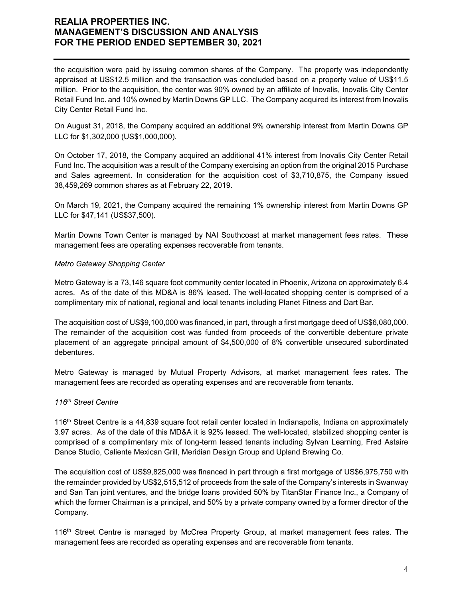the acquisition were paid by issuing common shares of the Company. The property was independently appraised at US\$12.5 million and the transaction was concluded based on a property value of US\$11.5 million. Prior to the acquisition, the center was 90% owned by an affiliate of Inovalis, Inovalis City Center Retail Fund Inc. and 10% owned by Martin Downs GP LLC. The Company acquired its interest from Inovalis City Center Retail Fund Inc.

On August 31, 2018, the Company acquired an additional 9% ownership interest from Martin Downs GP LLC for \$1,302,000 (US\$1,000,000).

On October 17, 2018, the Company acquired an additional 41% interest from Inovalis City Center Retail Fund Inc. The acquisition was a result of the Company exercising an option from the original 2015 Purchase and Sales agreement. In consideration for the acquisition cost of \$3,710,875, the Company issued 38,459,269 common shares as at February 22, 2019.

On March 19, 2021, the Company acquired the remaining 1% ownership interest from Martin Downs GP LLC for \$47,141 (US\$37,500).

Martin Downs Town Center is managed by NAI Southcoast at market management fees rates. These management fees are operating expenses recoverable from tenants.

### *Metro Gateway Shopping Center*

Metro Gateway is a 73,146 square foot community center located in Phoenix, Arizona on approximately 6.4 acres. As of the date of this MD&A is 86% leased. The well-located shopping center is comprised of a complimentary mix of national, regional and local tenants including Planet Fitness and Dart Bar.

The acquisition cost of US\$9,100,000 was financed, in part, through a first mortgage deed of US\$6,080,000. The remainder of the acquisition cost was funded from proceeds of the convertible debenture private placement of an aggregate principal amount of \$4,500,000 of 8% convertible unsecured subordinated debentures.

Metro Gateway is managed by Mutual Property Advisors, at market management fees rates. The management fees are recorded as operating expenses and are recoverable from tenants.

#### *116th Street Centre*

116th Street Centre is a 44,839 square foot retail center located in Indianapolis, Indiana on approximately 3.97 acres. As of the date of this MD&A it is 92% leased. The well-located, stabilized shopping center is comprised of a complimentary mix of long-term leased tenants including Sylvan Learning, Fred Astaire Dance Studio, Caliente Mexican Grill, Meridian Design Group and Upland Brewing Co.

The acquisition cost of US\$9,825,000 was financed in part through a first mortgage of US\$6,975,750 with the remainder provided by US\$2,515,512 of proceeds from the sale of the Company's interests in Swanway and San Tan joint ventures, and the bridge loans provided 50% by TitanStar Finance Inc., a Company of which the former Chairman is a principal, and 50% by a private company owned by a former director of the Company.

116<sup>th</sup> Street Centre is managed by McCrea Property Group, at market management fees rates. The management fees are recorded as operating expenses and are recoverable from tenants.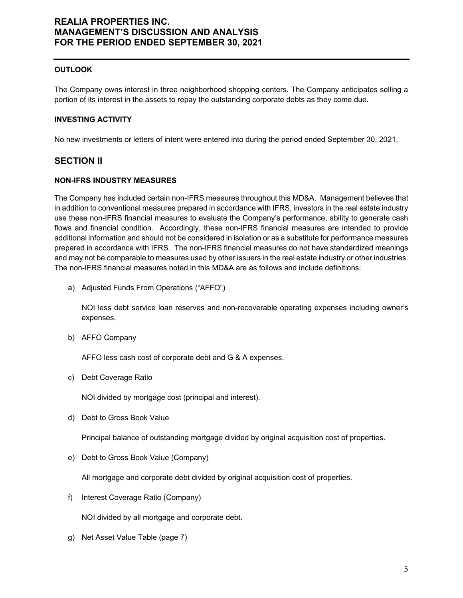### **OUTLOOK**

The Company owns interest in three neighborhood shopping centers. The Company anticipates selling a portion of its interest in the assets to repay the outstanding corporate debts as they come due.

#### **INVESTING ACTIVITY**

No new investments or letters of intent were entered into during the period ended September 30, 2021.

### **SECTION II**

#### **NON-IFRS INDUSTRY MEASURES**

The Company has included certain non-IFRS measures throughout this MD&A. Management believes that in addition to conventional measures prepared in accordance with IFRS, investors in the real estate industry use these non-IFRS financial measures to evaluate the Company's performance, ability to generate cash flows and financial condition. Accordingly, these non-IFRS financial measures are intended to provide additional information and should not be considered in isolation or as a substitute for performance measures prepared in accordance with IFRS. The non-IFRS financial measures do not have standardized meanings and may not be comparable to measures used by other issuers in the real estate industry or other industries. The non-IFRS financial measures noted in this MD&A are as follows and include definitions:

a) Adjusted Funds From Operations ("AFFO")

NOI less debt service loan reserves and non-recoverable operating expenses including owner's expenses.

b) AFFO Company

AFFO less cash cost of corporate debt and G & A expenses.

c) Debt Coverage Ratio

NOI divided by mortgage cost (principal and interest).

d) Debt to Gross Book Value

Principal balance of outstanding mortgage divided by original acquisition cost of properties.

e) Debt to Gross Book Value (Company)

All mortgage and corporate debt divided by original acquisition cost of properties.

f) Interest Coverage Ratio (Company)

NOI divided by all mortgage and corporate debt.

g) Net Asset Value Table (page 7)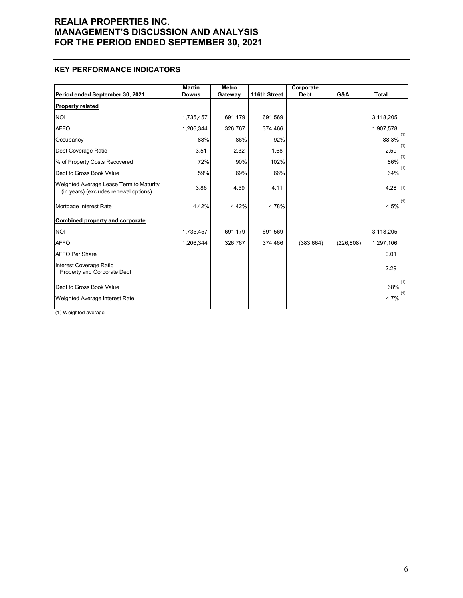### **KEY PERFORMANCE INDICATORS**

|                                                                                  | <b>Martin</b> | <b>Metro</b> |              | Corporate   |            |              |
|----------------------------------------------------------------------------------|---------------|--------------|--------------|-------------|------------|--------------|
| Period ended September 30, 2021                                                  | <b>Downs</b>  | Gateway      | 116th Street | <b>Debt</b> | G&A        | <b>Total</b> |
| <b>Property related</b>                                                          |               |              |              |             |            |              |
| INOI                                                                             | 1,735,457     | 691,179      | 691,569      |             |            | 3,118,205    |
| <b>AFFO</b>                                                                      | 1,206,344     | 326,767      | 374,466      |             |            | 1,907,578    |
| Occupancy                                                                        | 88%           | 86%          | 92%          |             |            | (1)<br>88.3% |
| Debt Coverage Ratio                                                              | 3.51          | 2.32         | 1.68         |             |            | (1)<br>2.59  |
| % of Property Costs Recovered                                                    | 72%           | 90%          | 102%         |             |            | (1)<br>86%   |
| Debt to Gross Book Value                                                         | 59%           | 69%          | 66%          |             |            | (1)<br>64%   |
| Weighted Average Lease Term to Maturity<br>(in years) (excludes renewal options) | 3.86          | 4.59         | 4.11         |             |            | $4.28$ (1)   |
| Mortgage Interest Rate                                                           | 4.42%         | 4.42%        | 4.78%        |             |            | (1)<br>4.5%  |
| <b>Combined property and corporate</b>                                           |               |              |              |             |            |              |
| INOI                                                                             | 1,735,457     | 691,179      | 691,569      |             |            | 3,118,205    |
| <b>AFFO</b>                                                                      | 1,206,344     | 326,767      | 374,466      | (383, 664)  | (226, 808) | 1,297,106    |
| <b>AFFO Per Share</b>                                                            |               |              |              |             |            | 0.01         |
| Interest Coverage Ratio<br>Property and Corporate Debt                           |               |              |              |             |            | 2.29         |
| Debt to Gross Book Value                                                         |               |              |              |             |            | (1)<br>68%   |
| Weighted Average Interest Rate                                                   |               |              |              |             |            | (1)<br>4.7%  |

(1) Weighted average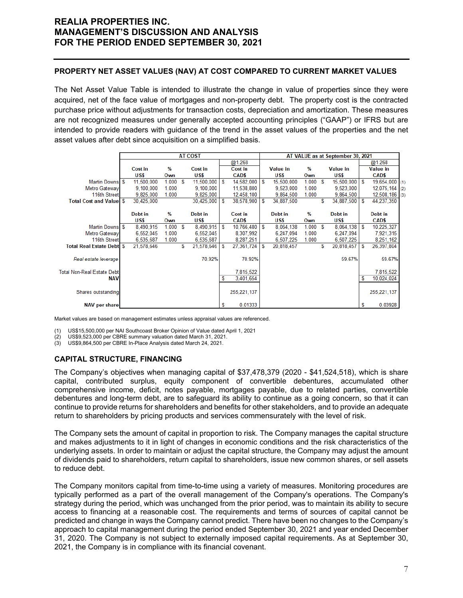### **PROPERTY NET ASSET VALUES (NAV) AT COST COMPARED TO CURRENT MARKET VALUES**

The Net Asset Value Table is intended to illustrate the change in value of properties since they were acquired, net of the face value of mortgages and non-property debt. The property cost is the contracted purchase price without adjustments for transaction costs, depreciation and amortization. These measures are not recognized measures under generally accepted accounting principles ("GAAP") or IFRS but are intended to provide readers with guidance of the trend in the asset values of the properties and the net asset values after debt since acquisition on a simplified basis.

|                                   |            |        |     | <b>AT COST</b> |   |               |   |                 |       |      | AT VALUE as at September 30, 2021 |   |                  |     |
|-----------------------------------|------------|--------|-----|----------------|---|---------------|---|-----------------|-------|------|-----------------------------------|---|------------------|-----|
|                                   |            |        |     |                |   | @1.268        |   |                 |       |      |                                   |   | @1.268           |     |
|                                   | Cost in    | %      |     | Cost in        |   | Cost in       |   | <b>Value in</b> | %     |      | <b>Value in</b>                   |   | <b>Value in</b>  |     |
|                                   | US\$       | Own    |     | US\$           |   | CAD\$         |   | US\$            | Own   |      | US\$                              |   | CAD\$            |     |
| Martin Downs \$                   | 11,500,000 | 1.000  | - S | 11,500,000     | S | 14,582,000    | S | 15,500,000      | 1.000 | - \$ | 15,500,000                        | S | $19,654,000$ (1) |     |
| Metro Gateway                     | 9,100,000  | 1.000  |     | 9,100,000      |   | 11,538,800    |   | 9,523,000       | 1.000 |      | 9,523,000                         |   | 12,075,164       | (2) |
| 116th Street                      | 9.825.000  | 1.000  |     | 9,825,000      |   | 12,458,100    |   | 9.864,500       | 1.000 |      | 9,864,500                         |   | $12,508,186$ (3) |     |
| <b>Total Cost and Valuel \$</b>   | 30,425,000 |        |     | 30,425,000     | S | 38,578,900    | S | 34,887,500      |       | S    | 34,887,500                        | S | 44,237,350       |     |
|                                   |            |        |     |                |   |               |   |                 |       |      |                                   |   |                  |     |
|                                   | Debt in    | %      |     | Debt in        |   | Cost in       |   | Debt in         | %     |      | Debt in                           |   | Debt in          |     |
|                                   | US\$       | Own    |     | US\$           |   | CAD\$         |   | US\$            | Own   |      | US\$                              |   | CAD\$            |     |
| Martin Downs \$                   | 8,490,915  | 1.000S |     | 8,490,915      | S | 10,766,480    | S | 8,064,138       | 1.000 | - \$ | 8,064,138                         | S | 10,225,327       |     |
| Metro Gateway                     | 6,552,045  | 1.000  |     | 6,552,045      |   | 8,307,992     |   | 6,247,094       | 1.000 |      | 6,247,094                         |   | 7,921,315        |     |
| 116th Street                      | 6,535,687  | 1.000  |     | 6,535,687      |   | 8.287.251     |   | 6.507.225       | 1.000 |      | 6,507,225                         |   | 8,251,162        |     |
| <b>Total Real Estate Debt</b> \$  | 21,578,646 |        | S   | 21,578,646     | S | 27,361,724    | S | 20,818,457      |       | S    | 20,818,457                        | S | 26,397,804       |     |
|                                   |            |        |     |                |   |               |   |                 |       |      |                                   |   |                  |     |
| Real estate leverage              |            |        |     | 70.92%         |   | 70.92%        |   |                 |       |      | 59.67%                            |   | 59.67%           |     |
|                                   |            |        |     |                |   |               |   |                 |       |      |                                   |   |                  |     |
| <b>Total Non-Real Estate Debt</b> |            |        |     |                |   | 7,815,522     |   |                 |       |      |                                   |   | 7,815,522        |     |
| <b>NAV</b>                        |            |        |     |                | s | 3,401,654     |   |                 |       |      |                                   | s | 10,024,024       |     |
|                                   |            |        |     |                |   |               |   |                 |       |      |                                   |   |                  |     |
| Shares outstanding                |            |        |     |                |   | 255, 221, 137 |   |                 |       |      |                                   |   | 255, 221, 137    |     |
|                                   |            |        |     |                |   |               |   |                 |       |      |                                   |   |                  |     |
| <b>NAV per share</b>              |            |        |     |                | S | 0.01333       |   |                 |       |      |                                   | s | 0.03928          |     |

Market values are based on management estimates unless appraisal values are referenced.

(1) US\$15,500,000 per NAI Southcoast Broker Opinion of Value dated April 1, 2021

(2) US\$9,523,000 per CBRE summary valuation dated March 31, 2021.

(3) US\$9,864,500 per CBRE In-Place Analysis dated March 24, 2021.

### **CAPITAL STRUCTURE, FINANCING**

The Company's objectives when managing capital of \$37,478,379 (2020 - \$41,524,518), which is share capital, contributed surplus, equity component of convertible debentures, accumulated other comprehensive income, deficit, notes payable, mortgages payable, due to related parties, convertible debentures and long-term debt, are to safeguard its ability to continue as a going concern, so that it can continue to provide returns for shareholders and benefits for other stakeholders, and to provide an adequate return to shareholders by pricing products and services commensurately with the level of risk.

The Company sets the amount of capital in proportion to risk. The Company manages the capital structure and makes adjustments to it in light of changes in economic conditions and the risk characteristics of the underlying assets. In order to maintain or adjust the capital structure, the Company may adjust the amount of dividends paid to shareholders, return capital to shareholders, issue new common shares, or sell assets to reduce debt.

The Company monitors capital from time-to-time using a variety of measures. Monitoring procedures are typically performed as a part of the overall management of the Company's operations. The Company's strategy during the period, which was unchanged from the prior period, was to maintain its ability to secure access to financing at a reasonable cost. The requirements and terms of sources of capital cannot be predicted and change in ways the Company cannot predict. There have been no changes to the Company's approach to capital management during the period ended September 30, 2021 and year ended December 31, 2020. The Company is not subject to externally imposed capital requirements. As at September 30, 2021, the Company is in compliance with its financial covenant.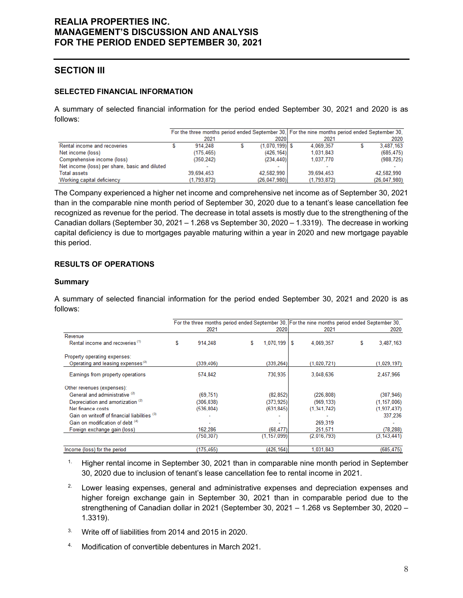# **SECTION III**

### **SELECTED FINANCIAL INFORMATION**

A summary of selected financial information for the period ended September 30, 2021 and 2020 is as follows:

|                                                |             |                  | For the three months period ended September 30, For the nine months period ended September 30, |              |
|------------------------------------------------|-------------|------------------|------------------------------------------------------------------------------------------------|--------------|
|                                                | 2021        | 2020             | 2021                                                                                           | 2020         |
| Rental income and recoveries                   | 914.248     | $(1,070,199)$ \$ | 4.069.357                                                                                      | 3,487,163    |
| Net income (loss)                              | (175, 465)  | (426, 164)       | 1,031,843                                                                                      | (685, 475)   |
| Comprehensive income (loss)                    | (350, 242)  | (234, 440)       | 1.037.770                                                                                      | (988, 725)   |
| Net income (loss) per share, basic and diluted |             |                  |                                                                                                |              |
| <b>Total assets</b>                            | 39.694.453  | 42,582,990       | 39.694.453                                                                                     | 42.582.990   |
| Working capital deficiency                     | (1,793,872) | (26,047,980)     | (1,793,872)                                                                                    | (26,047,980) |

The Company experienced a higher net income and comprehensive net income as of September 30, 2021 than in the comparable nine month period of September 30, 2020 due to a tenant's lease cancellation fee recognized as revenue for the period. The decrease in total assets is mostly due to the strengthening of the Canadian dollars (September 30, 2021 – 1.268 vs September 30, 2020 – 1.3319). The decrease in working capital deficiency is due to mortgages payable maturing within a year in 2020 and new mortgage payable this period.

### **RESULTS OF OPERATIONS**

#### **Summary**

A summary of selected financial information for the period ended September 30, 2021 and 2020 is as follows:

|                                               |   |            |   |               |   |               | For the three months period ended September 30, For the nine months period ended September 30, |               |  |
|-----------------------------------------------|---|------------|---|---------------|---|---------------|------------------------------------------------------------------------------------------------|---------------|--|
|                                               |   | 2021       |   | 2020          |   | 2021          |                                                                                                | 2020          |  |
| Revenue                                       |   |            |   |               |   |               |                                                                                                |               |  |
| Rental income and recoveries <sup>(1)</sup>   | S | 914.248    | S | 1.070.199     | S | 4.069.357     | S                                                                                              | 3,487,163     |  |
| Property operating expenses:                  |   |            |   |               |   |               |                                                                                                |               |  |
| Operating and leasing expenses <sup>(2)</sup> |   | (339.406)  |   | (339, 264)    |   | (1,020,721)   |                                                                                                | (1,029,197)   |  |
| Earnings from property operations             |   | 574,842    |   | 730,935       |   | 3,048,636     |                                                                                                | 2.457,966     |  |
| Other revenues (expenses):                    |   |            |   |               |   |               |                                                                                                |               |  |
| General and administrative (2)                |   | (69, 751)  |   | (82, 852)     |   | (226, 808)    |                                                                                                | (307, 946)    |  |
| Depreciation and amortization <sup>(2)</sup>  |   | (306, 038) |   | (373, 925)    |   | (969, 133)    |                                                                                                | (1, 157, 006) |  |
| Net finance costs                             |   | (536, 804) |   | (631, 845)    |   | (1, 341, 742) |                                                                                                | (1, 937, 437) |  |
| Gain on writeoff of financial liabilities (3) |   |            |   |               |   |               |                                                                                                | 337,236       |  |
| Gain on modification of debt (4)              |   |            |   |               |   | 269,319       |                                                                                                |               |  |
| Foreign exchange gain (loss)                  |   | 162,286    |   | (68, 477)     |   | 251,571       |                                                                                                | (78, 288)     |  |
|                                               |   | (750, 307) |   | (1, 157, 099) |   | (2,016,793)   |                                                                                                | (3, 143, 441) |  |
| Income (loss) for the period                  |   | (175, 465) |   | (426, 164)    |   | 1,031,843     |                                                                                                | (685, 475)    |  |

- <sup>1.</sup> Higher rental income in September 30, 2021 than in comparable nine month period in September 30, 2020 due to inclusion of tenant's lease cancellation fee to rental income in 2021.
- <sup>2.</sup> Lower leasing expenses, general and administrative expenses and depreciation expenses and higher foreign exchange gain in September 30, 2021 than in comparable period due to the strengthening of Canadian dollar in 2021 (September 30, 2021 – 1.268 vs September 30, 2020 – 1.3319).
- 3. Write off of liabilities from 2014 and 2015 in 2020.
- 4. Modification of convertible debentures in March 2021.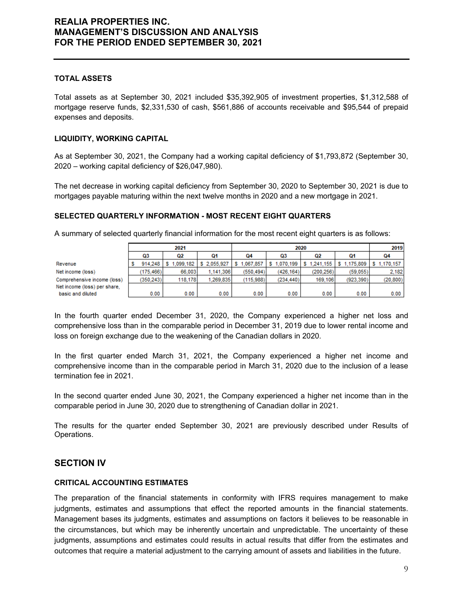### **TOTAL ASSETS**

Total assets as at September 30, 2021 included \$35,392,905 of investment properties, \$1,312,588 of mortgage reserve funds, \$2,331,530 of cash, \$561,886 of accounts receivable and \$95,544 of prepaid expenses and deposits.

### **LIQUIDITY, WORKING CAPITAL**

As at September 30, 2021, the Company had a working capital deficiency of \$1,793,872 (September 30, 2020 – working capital deficiency of \$26,047,980).

The net decrease in working capital deficiency from September 30, 2020 to September 30, 2021 is due to mortgages payable maturing within the next twelve months in 2020 and a new mortgage in 2021.

### **SELECTED QUARTERLY INFORMATION - MOST RECENT EIGHT QUARTERS**

 $0.00$ 

 $0.00$ 

|                              | 2021 |           |           |             |               |           | 2019      |                                                 |           |
|------------------------------|------|-----------|-----------|-------------|---------------|-----------|-----------|-------------------------------------------------|-----------|
|                              |      | Q3        | Q2        | 01          | 04            | Q3        | Q2        | Q1                                              | 04        |
| Revenue                      |      | 914.248   | 1.099.182 | \$2,055,927 | .067.857<br>s |           |           | S 1.070.199 S 1.241.155 S 1.175.809 S 1.170.157 |           |
| Net income (loss)            |      | (175.466) | 66,003    | 1.141.306   | (550.494)     | (426.164) | (200.256) | (59.055)                                        | 2.182     |
| Comprehensive income (loss)  |      | (350.243) | 118.178   | 1.269.835   | (115.988)     | (234.440) | 169.106   | (923.390)                                       | (20, 800) |
| Net income (loss) per share. |      |           |           |             |               |           |           |                                                 |           |

 $0.00$ 

A summary of selected quarterly financial information for the most recent eight quarters is as follows:

In the fourth quarter ended December 31, 2020, the Company experienced a higher net loss and comprehensive loss than in the comparable period in December 31, 2019 due to lower rental income and loss on foreign exchange due to the weakening of the Canadian dollars in 2020.

 $0.00$ 

 $0.00$ 

 $0.00$ 

 $0.00$ 

 $0.00$ 

In the first quarter ended March 31, 2021, the Company experienced a higher net income and comprehensive income than in the comparable period in March 31, 2020 due to the inclusion of a lease termination fee in 2021.

In the second quarter ended June 30, 2021, the Company experienced a higher net income than in the comparable period in June 30, 2020 due to strengthening of Canadian dollar in 2021.

The results for the quarter ended September 30, 2021 are previously described under Results of Operations.

# **SECTION IV**

basic and diluted

#### **CRITICAL ACCOUNTING ESTIMATES**

The preparation of the financial statements in conformity with IFRS requires management to make judgments, estimates and assumptions that effect the reported amounts in the financial statements. Management bases its judgments, estimates and assumptions on factors it believes to be reasonable in the circumstances, but which may be inherently uncertain and unpredictable. The uncertainty of these judgments, assumptions and estimates could results in actual results that differ from the estimates and outcomes that require a material adjustment to the carrying amount of assets and liabilities in the future.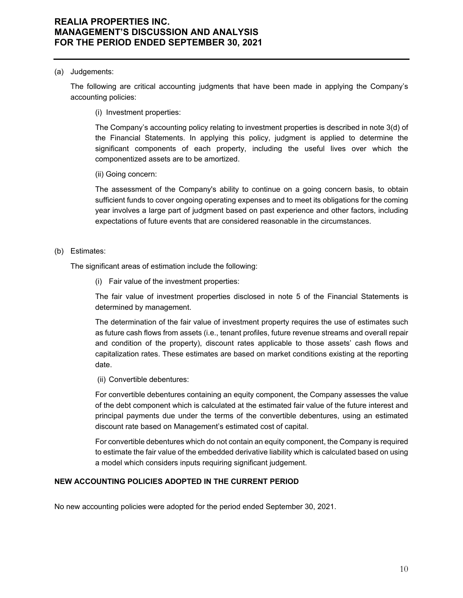#### (a) Judgements:

The following are critical accounting judgments that have been made in applying the Company's accounting policies:

(i) Investment properties:

The Company's accounting policy relating to investment properties is described in note 3(d) of the Financial Statements. In applying this policy, judgment is applied to determine the significant components of each property, including the useful lives over which the componentized assets are to be amortized.

(ii) Going concern:

The assessment of the Company's ability to continue on a going concern basis, to obtain sufficient funds to cover ongoing operating expenses and to meet its obligations for the coming year involves a large part of judgment based on past experience and other factors, including expectations of future events that are considered reasonable in the circumstances.

### (b) Estimates:

The significant areas of estimation include the following:

(i) Fair value of the investment properties:

The fair value of investment properties disclosed in note 5 of the Financial Statements is determined by management.

The determination of the fair value of investment property requires the use of estimates such as future cash flows from assets (i.e., tenant profiles, future revenue streams and overall repair and condition of the property), discount rates applicable to those assets' cash flows and capitalization rates. These estimates are based on market conditions existing at the reporting date.

(ii) Convertible debentures:

For convertible debentures containing an equity component, the Company assesses the value of the debt component which is calculated at the estimated fair value of the future interest and principal payments due under the terms of the convertible debentures, using an estimated discount rate based on Management's estimated cost of capital.

For convertible debentures which do not contain an equity component, the Company is required to estimate the fair value of the embedded derivative liability which is calculated based on using a model which considers inputs requiring significant judgement.

### **NEW ACCOUNTING POLICIES ADOPTED IN THE CURRENT PERIOD**

No new accounting policies were adopted for the period ended September 30, 2021.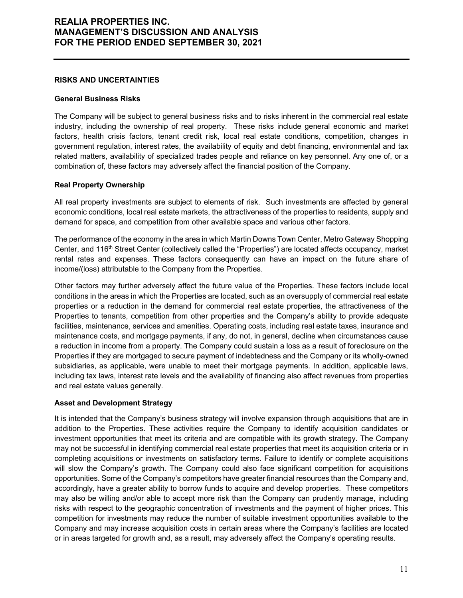#### **RISKS AND UNCERTAINTIES**

#### **General Business Risks**

The Company will be subject to general business risks and to risks inherent in the commercial real estate industry, including the ownership of real property. These risks include general economic and market factors, health crisis factors, tenant credit risk, local real estate conditions, competition, changes in government regulation, interest rates, the availability of equity and debt financing, environmental and tax related matters, availability of specialized trades people and reliance on key personnel. Any one of, or a combination of, these factors may adversely affect the financial position of the Company.

### **Real Property Ownership**

All real property investments are subject to elements of risk. Such investments are affected by general economic conditions, local real estate markets, the attractiveness of the properties to residents, supply and demand for space, and competition from other available space and various other factors.

The performance of the economy in the area in which Martin Downs Town Center, Metro Gateway Shopping Center, and 116<sup>th</sup> Street Center (collectively called the "Properties") are located affects occupancy, market rental rates and expenses. These factors consequently can have an impact on the future share of income/(loss) attributable to the Company from the Properties.

Other factors may further adversely affect the future value of the Properties. These factors include local conditions in the areas in which the Properties are located, such as an oversupply of commercial real estate properties or a reduction in the demand for commercial real estate properties, the attractiveness of the Properties to tenants, competition from other properties and the Company's ability to provide adequate facilities, maintenance, services and amenities. Operating costs, including real estate taxes, insurance and maintenance costs, and mortgage payments, if any, do not, in general, decline when circumstances cause a reduction in income from a property. The Company could sustain a loss as a result of foreclosure on the Properties if they are mortgaged to secure payment of indebtedness and the Company or its wholly-owned subsidiaries, as applicable, were unable to meet their mortgage payments. In addition, applicable laws, including tax laws, interest rate levels and the availability of financing also affect revenues from properties and real estate values generally.

### **Asset and Development Strategy**

It is intended that the Company's business strategy will involve expansion through acquisitions that are in addition to the Properties. These activities require the Company to identify acquisition candidates or investment opportunities that meet its criteria and are compatible with its growth strategy. The Company may not be successful in identifying commercial real estate properties that meet its acquisition criteria or in completing acquisitions or investments on satisfactory terms. Failure to identify or complete acquisitions will slow the Company's growth. The Company could also face significant competition for acquisitions opportunities. Some of the Company's competitors have greater financial resources than the Company and, accordingly, have a greater ability to borrow funds to acquire and develop properties. These competitors may also be willing and/or able to accept more risk than the Company can prudently manage, including risks with respect to the geographic concentration of investments and the payment of higher prices. This competition for investments may reduce the number of suitable investment opportunities available to the Company and may increase acquisition costs in certain areas where the Company's facilities are located or in areas targeted for growth and, as a result, may adversely affect the Company's operating results.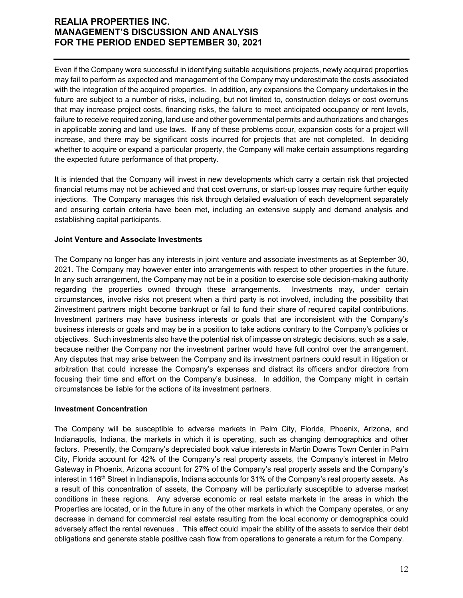Even if the Company were successful in identifying suitable acquisitions projects, newly acquired properties may fail to perform as expected and management of the Company may underestimate the costs associated with the integration of the acquired properties. In addition, any expansions the Company undertakes in the future are subject to a number of risks, including, but not limited to, construction delays or cost overruns that may increase project costs, financing risks, the failure to meet anticipated occupancy or rent levels, failure to receive required zoning, land use and other governmental permits and authorizations and changes in applicable zoning and land use laws. If any of these problems occur, expansion costs for a project will increase, and there may be significant costs incurred for projects that are not completed. In deciding whether to acquire or expand a particular property, the Company will make certain assumptions regarding the expected future performance of that property.

It is intended that the Company will invest in new developments which carry a certain risk that projected financial returns may not be achieved and that cost overruns, or start-up losses may require further equity injections. The Company manages this risk through detailed evaluation of each development separately and ensuring certain criteria have been met, including an extensive supply and demand analysis and establishing capital participants.

### **Joint Venture and Associate Investments**

The Company no longer has any interests in joint venture and associate investments as at September 30, 2021. The Company may however enter into arrangements with respect to other properties in the future. In any such arrangement, the Company may not be in a position to exercise sole decision-making authority regarding the properties owned through these arrangements. Investments may, under certain circumstances, involve risks not present when a third party is not involved, including the possibility that 2investment partners might become bankrupt or fail to fund their share of required capital contributions. Investment partners may have business interests or goals that are inconsistent with the Company's business interests or goals and may be in a position to take actions contrary to the Company's policies or objectives. Such investments also have the potential risk of impasse on strategic decisions, such as a sale, because neither the Company nor the investment partner would have full control over the arrangement. Any disputes that may arise between the Company and its investment partners could result in litigation or arbitration that could increase the Company's expenses and distract its officers and/or directors from focusing their time and effort on the Company's business. In addition, the Company might in certain circumstances be liable for the actions of its investment partners.

### **Investment Concentration**

The Company will be susceptible to adverse markets in Palm City, Florida, Phoenix, Arizona, and Indianapolis, Indiana, the markets in which it is operating, such as changing demographics and other factors. Presently, the Company's depreciated book value interests in Martin Downs Town Center in Palm City, Florida account for 42% of the Company's real property assets, the Company's interest in Metro Gateway in Phoenix, Arizona account for 27% of the Company's real property assets and the Company's interest in 116<sup>th</sup> Street in Indianapolis, Indiana accounts for 31% of the Company's real property assets. As a result of this concentration of assets, the Company will be particularly susceptible to adverse market conditions in these regions. Any adverse economic or real estate markets in the areas in which the Properties are located, or in the future in any of the other markets in which the Company operates, or any decrease in demand for commercial real estate resulting from the local economy or demographics could adversely affect the rental revenues . This effect could impair the ability of the assets to service their debt obligations and generate stable positive cash flow from operations to generate a return for the Company.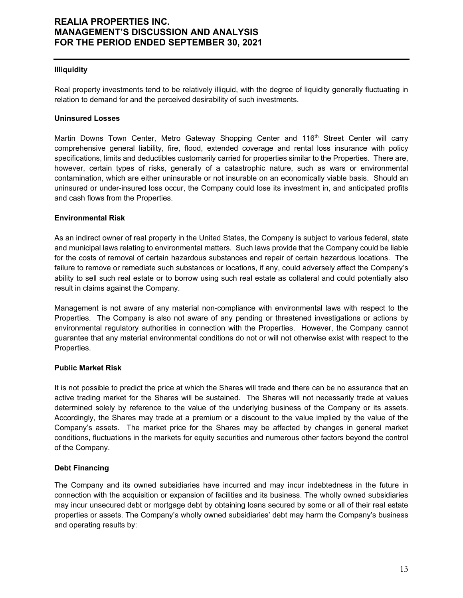#### **Illiquidity**

Real property investments tend to be relatively illiquid, with the degree of liquidity generally fluctuating in relation to demand for and the perceived desirability of such investments.

#### **Uninsured Losses**

Martin Downs Town Center, Metro Gateway Shopping Center and 116<sup>th</sup> Street Center will carry comprehensive general liability, fire, flood, extended coverage and rental loss insurance with policy specifications, limits and deductibles customarily carried for properties similar to the Properties. There are, however, certain types of risks, generally of a catastrophic nature, such as wars or environmental contamination, which are either uninsurable or not insurable on an economically viable basis. Should an uninsured or under-insured loss occur, the Company could lose its investment in, and anticipated profits and cash flows from the Properties.

#### **Environmental Risk**

As an indirect owner of real property in the United States, the Company is subject to various federal, state and municipal laws relating to environmental matters. Such laws provide that the Company could be liable for the costs of removal of certain hazardous substances and repair of certain hazardous locations. The failure to remove or remediate such substances or locations, if any, could adversely affect the Company's ability to sell such real estate or to borrow using such real estate as collateral and could potentially also result in claims against the Company.

Management is not aware of any material non-compliance with environmental laws with respect to the Properties. The Company is also not aware of any pending or threatened investigations or actions by environmental regulatory authorities in connection with the Properties. However, the Company cannot guarantee that any material environmental conditions do not or will not otherwise exist with respect to the Properties.

### **Public Market Risk**

It is not possible to predict the price at which the Shares will trade and there can be no assurance that an active trading market for the Shares will be sustained. The Shares will not necessarily trade at values determined solely by reference to the value of the underlying business of the Company or its assets. Accordingly, the Shares may trade at a premium or a discount to the value implied by the value of the Company's assets. The market price for the Shares may be affected by changes in general market conditions, fluctuations in the markets for equity securities and numerous other factors beyond the control of the Company.

#### **Debt Financing**

The Company and its owned subsidiaries have incurred and may incur indebtedness in the future in connection with the acquisition or expansion of facilities and its business. The wholly owned subsidiaries may incur unsecured debt or mortgage debt by obtaining loans secured by some or all of their real estate properties or assets. The Company's wholly owned subsidiaries' debt may harm the Company's business and operating results by: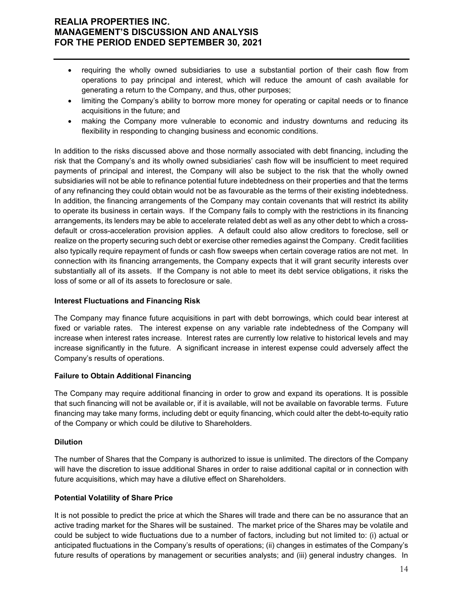- requiring the wholly owned subsidiaries to use a substantial portion of their cash flow from operations to pay principal and interest, which will reduce the amount of cash available for generating a return to the Company, and thus, other purposes;
- limiting the Company's ability to borrow more money for operating or capital needs or to finance acquisitions in the future; and
- making the Company more vulnerable to economic and industry downturns and reducing its flexibility in responding to changing business and economic conditions.

In addition to the risks discussed above and those normally associated with debt financing, including the risk that the Company's and its wholly owned subsidiaries' cash flow will be insufficient to meet required payments of principal and interest, the Company will also be subject to the risk that the wholly owned subsidiaries will not be able to refinance potential future indebtedness on their properties and that the terms of any refinancing they could obtain would not be as favourable as the terms of their existing indebtedness. In addition, the financing arrangements of the Company may contain covenants that will restrict its ability to operate its business in certain ways. If the Company fails to comply with the restrictions in its financing arrangements, its lenders may be able to accelerate related debt as well as any other debt to which a crossdefault or cross-acceleration provision applies. A default could also allow creditors to foreclose, sell or realize on the property securing such debt or exercise other remedies against the Company. Credit facilities also typically require repayment of funds or cash flow sweeps when certain coverage ratios are not met. In connection with its financing arrangements, the Company expects that it will grant security interests over substantially all of its assets. If the Company is not able to meet its debt service obligations, it risks the loss of some or all of its assets to foreclosure or sale.

### **Interest Fluctuations and Financing Risk**

The Company may finance future acquisitions in part with debt borrowings, which could bear interest at fixed or variable rates. The interest expense on any variable rate indebtedness of the Company will increase when interest rates increase. Interest rates are currently low relative to historical levels and may increase significantly in the future. A significant increase in interest expense could adversely affect the Company's results of operations.

### **Failure to Obtain Additional Financing**

The Company may require additional financing in order to grow and expand its operations. It is possible that such financing will not be available or, if it is available, will not be available on favorable terms. Future financing may take many forms, including debt or equity financing, which could alter the debt-to-equity ratio of the Company or which could be dilutive to Shareholders.

#### **Dilution**

The number of Shares that the Company is authorized to issue is unlimited. The directors of the Company will have the discretion to issue additional Shares in order to raise additional capital or in connection with future acquisitions, which may have a dilutive effect on Shareholders.

### **Potential Volatility of Share Price**

It is not possible to predict the price at which the Shares will trade and there can be no assurance that an active trading market for the Shares will be sustained. The market price of the Shares may be volatile and could be subject to wide fluctuations due to a number of factors, including but not limited to: (i) actual or anticipated fluctuations in the Company's results of operations; (ii) changes in estimates of the Company's future results of operations by management or securities analysts; and (iii) general industry changes. In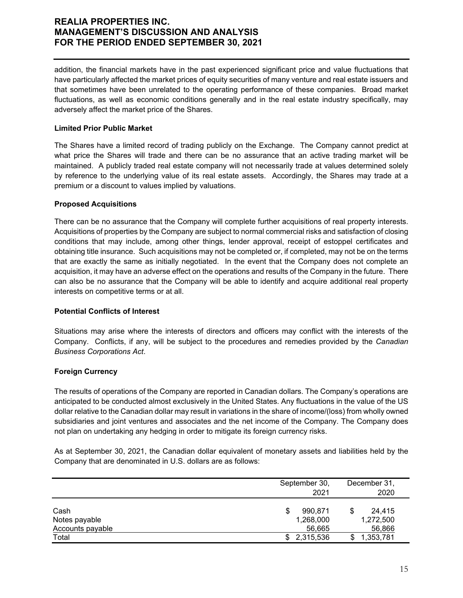addition, the financial markets have in the past experienced significant price and value fluctuations that have particularly affected the market prices of equity securities of many venture and real estate issuers and that sometimes have been unrelated to the operating performance of these companies. Broad market fluctuations, as well as economic conditions generally and in the real estate industry specifically, may adversely affect the market price of the Shares.

### **Limited Prior Public Market**

The Shares have a limited record of trading publicly on the Exchange. The Company cannot predict at what price the Shares will trade and there can be no assurance that an active trading market will be maintained. A publicly traded real estate company will not necessarily trade at values determined solely by reference to the underlying value of its real estate assets. Accordingly, the Shares may trade at a premium or a discount to values implied by valuations.

### **Proposed Acquisitions**

There can be no assurance that the Company will complete further acquisitions of real property interests. Acquisitions of properties by the Company are subject to normal commercial risks and satisfaction of closing conditions that may include, among other things, lender approval, receipt of estoppel certificates and obtaining title insurance. Such acquisitions may not be completed or, if completed, may not be on the terms that are exactly the same as initially negotiated. In the event that the Company does not complete an acquisition, it may have an adverse effect on the operations and results of the Company in the future. There can also be no assurance that the Company will be able to identify and acquire additional real property interests on competitive terms or at all.

### **Potential Conflicts of Interest**

Situations may arise where the interests of directors and officers may conflict with the interests of the Company. Conflicts, if any, will be subject to the procedures and remedies provided by the *Canadian Business Corporations Act*.

### **Foreign Currency**

The results of operations of the Company are reported in Canadian dollars. The Company's operations are anticipated to be conducted almost exclusively in the United States. Any fluctuations in the value of the US dollar relative to the Canadian dollar may result in variations in the share of income/(loss) from wholly owned subsidiaries and joint ventures and associates and the net income of the Company. The Company does not plan on undertaking any hedging in order to mitigate its foreign currency risks.

As at September 30, 2021, the Canadian dollar equivalent of monetary assets and liabilities held by the Company that are denominated in U.S. dollars are as follows:

|                                           | September 30,<br>2021               | December 31,<br>2020          |
|-------------------------------------------|-------------------------------------|-------------------------------|
| Cash<br>Notes payable<br>Accounts payable | 990.871<br>S<br>1,268,000<br>56.665 | 24.415<br>1,272,500<br>56,866 |
| Total                                     | 2,315,536<br>\$                     | 1,353,781                     |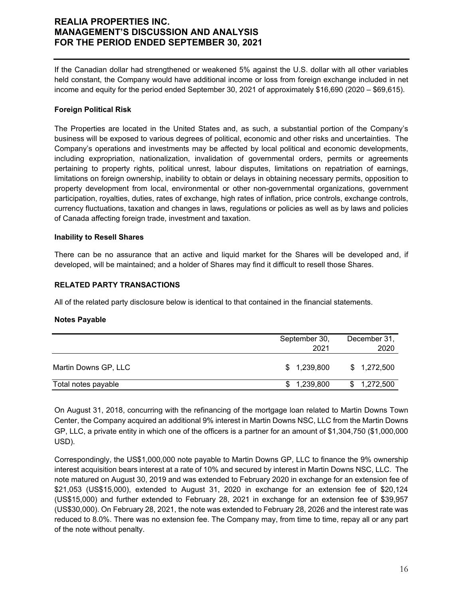If the Canadian dollar had strengthened or weakened 5% against the U.S. dollar with all other variables held constant, the Company would have additional income or loss from foreign exchange included in net income and equity for the period ended September 30, 2021 of approximately \$16,690 (2020 – \$69,615).

### **Foreign Political Risk**

The Properties are located in the United States and, as such, a substantial portion of the Company's business will be exposed to various degrees of political, economic and other risks and uncertainties. The Company's operations and investments may be affected by local political and economic developments, including expropriation, nationalization, invalidation of governmental orders, permits or agreements pertaining to property rights, political unrest, labour disputes, limitations on repatriation of earnings, limitations on foreign ownership, inability to obtain or delays in obtaining necessary permits, opposition to property development from local, environmental or other non-governmental organizations, government participation, royalties, duties, rates of exchange, high rates of inflation, price controls, exchange controls, currency fluctuations, taxation and changes in laws, regulations or policies as well as by laws and policies of Canada affecting foreign trade, investment and taxation.

### **Inability to Resell Shares**

There can be no assurance that an active and liquid market for the Shares will be developed and, if developed, will be maintained; and a holder of Shares may find it difficult to resell those Shares.

### **RELATED PARTY TRANSACTIONS**

All of the related party disclosure below is identical to that contained in the financial statements.

#### **Notes Payable**

|                      | September 30,<br>2021 | December 31,<br>2020 |
|----------------------|-----------------------|----------------------|
| Martin Downs GP, LLC | \$1,239,800           | \$1,272,500          |
| Total notes payable  | 1,239,800             | 1,272,500<br>\$      |

On August 31, 2018, concurring with the refinancing of the mortgage loan related to Martin Downs Town Center, the Company acquired an additional 9% interest in Martin Downs NSC, LLC from the Martin Downs GP, LLC, a private entity in which one of the officers is a partner for an amount of \$1,304,750 (\$1,000,000 USD).

Correspondingly, the US\$1,000,000 note payable to Martin Downs GP, LLC to finance the 9% ownership interest acquisition bears interest at a rate of 10% and secured by interest in Martin Downs NSC, LLC. The note matured on August 30, 2019 and was extended to February 2020 in exchange for an extension fee of \$21,053 (US\$15,000), extended to August 31, 2020 in exchange for an extension fee of \$20,124 (US\$15,000) and further extended to February 28, 2021 in exchange for an extension fee of \$39,957 (US\$30,000). On February 28, 2021, the note was extended to February 28, 2026 and the interest rate was reduced to 8.0%. There was no extension fee. The Company may, from time to time, repay all or any part of the note without penalty.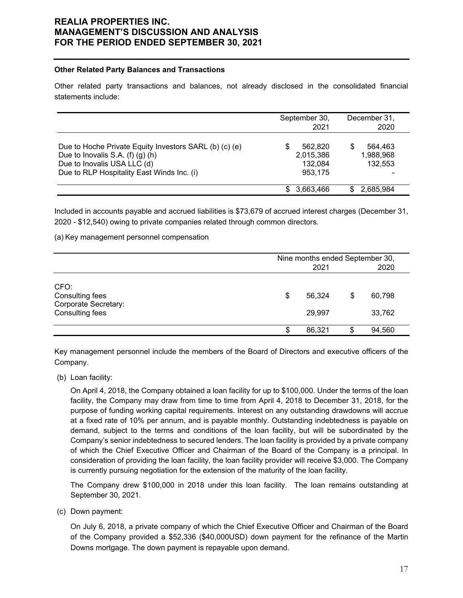#### **Other Related Party Balances and Transactions**

Other related party transactions and balances, not already disclosed in the consolidated financial statements include:

|                                                                                                                                                                         | September 30,<br>2021                      | December 31,<br>2020                 |
|-------------------------------------------------------------------------------------------------------------------------------------------------------------------------|--------------------------------------------|--------------------------------------|
| Due to Hoche Private Equity Investors SARL (b) (c) (e)<br>Due to Inovalis S.A. $(f)(g)(h)$<br>Due to Inovalis USA LLC (d)<br>Due to RLP Hospitality East Winds Inc. (i) | 562.820<br>2,015,386<br>132,084<br>953.175 | 564.463<br>S<br>1,988,968<br>132.553 |
|                                                                                                                                                                         | 3,663,466                                  | 2,685,984                            |

Included in accounts payable and accrued liabilities is \$73,679 of accrued interest charges (December 31, 2020 - \$12,540) owing to private companies related through common directors.

(a) Key management personnel compensation

|                                                                    |   | Nine months ended September 30,<br>2020<br>2021 |   |                  |  |  |
|--------------------------------------------------------------------|---|-------------------------------------------------|---|------------------|--|--|
| CFO:<br>Consulting fees<br>Corporate Secretary:<br>Consulting fees | S | 56.324<br>29,997                                | S | 60,798<br>33,762 |  |  |
|                                                                    |   | 86,321                                          | S | 94,560           |  |  |

Key management personnel include the members of the Board of Directors and executive officers of the Company.

(b) Loan facility:

On April 4, 2018, the Company obtained a loan facility for up to \$100,000. Under the terms of the loan facility, the Company may draw from time to time from April 4, 2018 to December 31, 2018, for the purpose of funding working capital requirements. Interest on any outstanding drawdowns will accrue at a fixed rate of 10% per annum, and is payable monthly. Outstanding indebtedness is payable on demand, subject to the terms and conditions of the loan facility, but will be subordinated by the Company's senior indebtedness to secured lenders. The loan facility is provided by a private company of which the Chief Executive Officer and Chairman of the Board of the Company is a principal. In consideration of providing the loan facility, the loan facility provider will receive \$3,000. The Company is currently pursuing negotiation for the extension of the maturity of the loan facility.

The Company drew \$100,000 in 2018 under this loan facility. The loan remains outstanding at September 30, 2021.

(c) Down payment:

On July 6, 2018, a private company of which the Chief Executive Officer and Chairman of the Board of the Company provided a \$52,336 (\$40,000USD) down payment for the refinance of the Martin Downs mortgage. The down payment is repayable upon demand.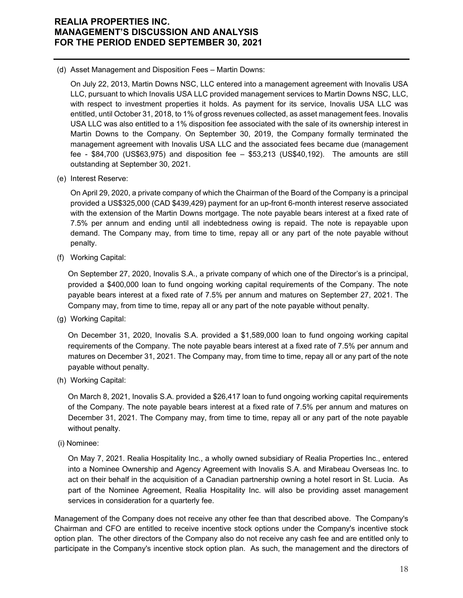(d) Asset Management and Disposition Fees – Martin Downs:

On July 22, 2013, Martin Downs NSC, LLC entered into a management agreement with Inovalis USA LLC, pursuant to which Inovalis USA LLC provided management services to Martin Downs NSC, LLC, with respect to investment properties it holds. As payment for its service, Inovalis USA LLC was entitled, until October 31, 2018, to 1% of gross revenues collected, as asset management fees. Inovalis USA LLC was also entitled to a 1% disposition fee associated with the sale of its ownership interest in Martin Downs to the Company. On September 30, 2019, the Company formally terminated the management agreement with Inovalis USA LLC and the associated fees became due (management fee - \$84,700 (US\$63,975) and disposition fee – \$53,213 (US\$40,192). The amounts are still outstanding at September 30, 2021.

(e) Interest Reserve:

On April 29, 2020, a private company of which the Chairman of the Board of the Company is a principal provided a US\$325,000 (CAD \$439,429) payment for an up-front 6-month interest reserve associated with the extension of the Martin Downs mortgage. The note payable bears interest at a fixed rate of 7.5% per annum and ending until all indebtedness owing is repaid. The note is repayable upon demand. The Company may, from time to time, repay all or any part of the note payable without penalty.

(f) Working Capital:

On September 27, 2020, Inovalis S.A., a private company of which one of the Director's is a principal, provided a \$400,000 loan to fund ongoing working capital requirements of the Company. The note payable bears interest at a fixed rate of 7.5% per annum and matures on September 27, 2021. The Company may, from time to time, repay all or any part of the note payable without penalty.

(g) Working Capital:

On December 31, 2020, Inovalis S.A. provided a \$1,589,000 loan to fund ongoing working capital requirements of the Company. The note payable bears interest at a fixed rate of 7.5% per annum and matures on December 31, 2021. The Company may, from time to time, repay all or any part of the note payable without penalty.

(h) Working Capital:

On March 8, 2021, Inovalis S.A. provided a \$26,417 loan to fund ongoing working capital requirements of the Company. The note payable bears interest at a fixed rate of 7.5% per annum and matures on December 31, 2021. The Company may, from time to time, repay all or any part of the note payable without penalty.

(i) Nominee:

On May 7, 2021. Realia Hospitality Inc., a wholly owned subsidiary of Realia Properties Inc., entered into a Nominee Ownership and Agency Agreement with Inovalis S.A. and Mirabeau Overseas Inc. to act on their behalf in the acquisition of a Canadian partnership owning a hotel resort in St. Lucia. As part of the Nominee Agreement, Realia Hospitality Inc. will also be providing asset management services in consideration for a quarterly fee.

Management of the Company does not receive any other fee than that described above. The Company's Chairman and CFO are entitled to receive incentive stock options under the Company's incentive stock option plan. The other directors of the Company also do not receive any cash fee and are entitled only to participate in the Company's incentive stock option plan. As such, the management and the directors of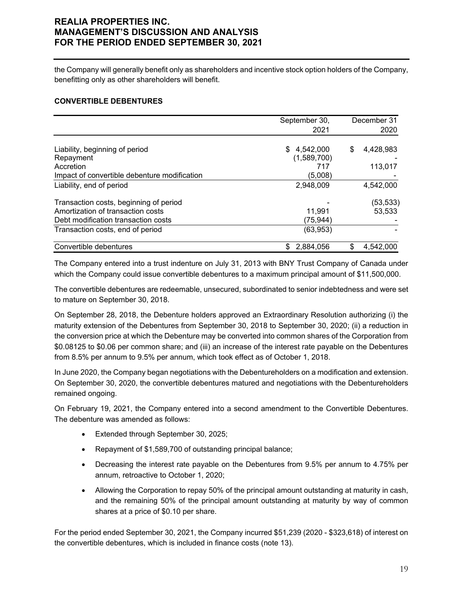the Company will generally benefit only as shareholders and incentive stock option holders of the Company, benefitting only as other shareholders will benefit.

#### **CONVERTIBLE DEBENTURES**

|                                              | September 30,    | December 31     |
|----------------------------------------------|------------------|-----------------|
|                                              | 2021             | 2020            |
|                                              |                  |                 |
| Liability, beginning of period               | 4,542,000<br>\$. | \$<br>4,428,983 |
| Repayment                                    | (1,589,700)      |                 |
| Accretion                                    | 717              | 113,017         |
| Impact of convertible debenture modification | (5,008)          |                 |
| Liability, end of period                     | 2,948,009        | 4,542,000       |
| Transaction costs, beginning of period       |                  | (53,533)        |
| Amortization of transaction costs            | 11,991           | 53,533          |
| Debt modification transaction costs          | (75, 944)        |                 |
| Transaction costs, end of period             | (63,953)         |                 |
| Convertible debentures                       | 2,884,056<br>S   | \$<br>4,542,000 |

The Company entered into a trust indenture on July 31, 2013 with BNY Trust Company of Canada under which the Company could issue convertible debentures to a maximum principal amount of \$11,500,000.

The convertible debentures are redeemable, unsecured, subordinated to senior indebtedness and were set to mature on September 30, 2018.

On September 28, 2018, the Debenture holders approved an Extraordinary Resolution authorizing (i) the maturity extension of the Debentures from September 30, 2018 to September 30, 2020; (ii) a reduction in the conversion price at which the Debenture may be converted into common shares of the Corporation from \$0.08125 to \$0.06 per common share; and (iii) an increase of the interest rate payable on the Debentures from 8.5% per annum to 9.5% per annum, which took effect as of October 1, 2018.

In June 2020, the Company began negotiations with the Debentureholders on a modification and extension. On September 30, 2020, the convertible debentures matured and negotiations with the Debentureholders remained ongoing.

On February 19, 2021, the Company entered into a second amendment to the Convertible Debentures. The debenture was amended as follows:

- **Extended through September 30, 2025;**
- Repayment of \$1,589,700 of outstanding principal balance;
- Decreasing the interest rate payable on the Debentures from 9.5% per annum to 4.75% per annum, retroactive to October 1, 2020;
- Allowing the Corporation to repay 50% of the principal amount outstanding at maturity in cash, and the remaining 50% of the principal amount outstanding at maturity by way of common shares at a price of \$0.10 per share.

For the period ended September 30, 2021, the Company incurred \$51,239 (2020 - \$323,618) of interest on the convertible debentures, which is included in finance costs (note 13).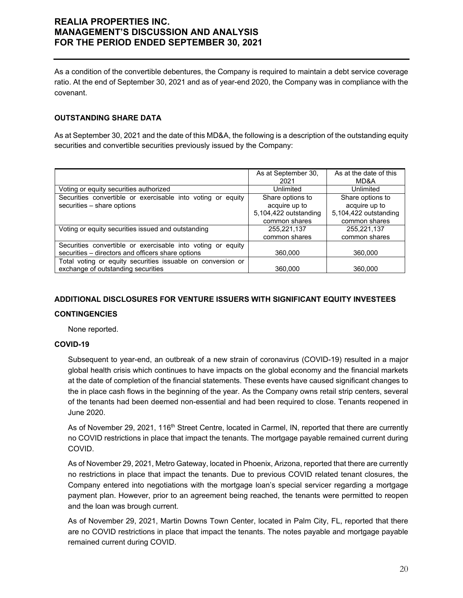As a condition of the convertible debentures, the Company is required to maintain a debt service coverage ratio. At the end of September 30, 2021 and as of year-end 2020, the Company was in compliance with the covenant.

### **OUTSTANDING SHARE DATA**

As at September 30, 2021 and the date of this MD&A, the following is a description of the outstanding equity securities and convertible securities previously issued by the Company:

|                                                                | As at September 30,   | As at the date of this |
|----------------------------------------------------------------|-----------------------|------------------------|
|                                                                | 2021                  | MD&A                   |
| Voting or equity securities authorized                         | Unlimited             | Unlimited              |
| Securities convertible or exercisable into voting or equity    | Share options to      | Share options to       |
| securities - share options                                     | acquire up to         | acquire up to          |
|                                                                | 5,104,422 outstanding | 5,104,422 outstanding  |
|                                                                | common shares         | common shares          |
| Voting or equity securities issued and outstanding             | 255,221,137           | 255,221,137            |
|                                                                | common shares         | common shares          |
| Securities convertible or exercisable into voting or<br>equity |                       |                        |
| securities – directors and officers share options              | 360,000               | 360,000                |
| Total voting or equity securities issuable on conversion or    |                       |                        |
| exchange of outstanding securities                             | 360.000               | 360.000                |

### **ADDITIONAL DISCLOSURES FOR VENTURE ISSUERS WITH SIGNIFICANT EQUITY INVESTEES**

#### **CONTINGENCIES**

None reported.

### **COVID-19**

Subsequent to year-end, an outbreak of a new strain of coronavirus (COVID-19) resulted in a major global health crisis which continues to have impacts on the global economy and the financial markets at the date of completion of the financial statements. These events have caused significant changes to the in place cash flows in the beginning of the year. As the Company owns retail strip centers, several of the tenants had been deemed non-essential and had been required to close. Tenants reopened in June 2020.

As of November 29, 2021, 116<sup>th</sup> Street Centre, located in Carmel, IN, reported that there are currently no COVID restrictions in place that impact the tenants. The mortgage payable remained current during COVID.

As of November 29, 2021, Metro Gateway, located in Phoenix, Arizona, reported that there are currently no restrictions in place that impact the tenants. Due to previous COVID related tenant closures, the Company entered into negotiations with the mortgage loan's special servicer regarding a mortgage payment plan. However, prior to an agreement being reached, the tenants were permitted to reopen and the loan was brough current.

As of November 29, 2021, Martin Downs Town Center, located in Palm City, FL, reported that there are no COVID restrictions in place that impact the tenants. The notes payable and mortgage payable remained current during COVID.